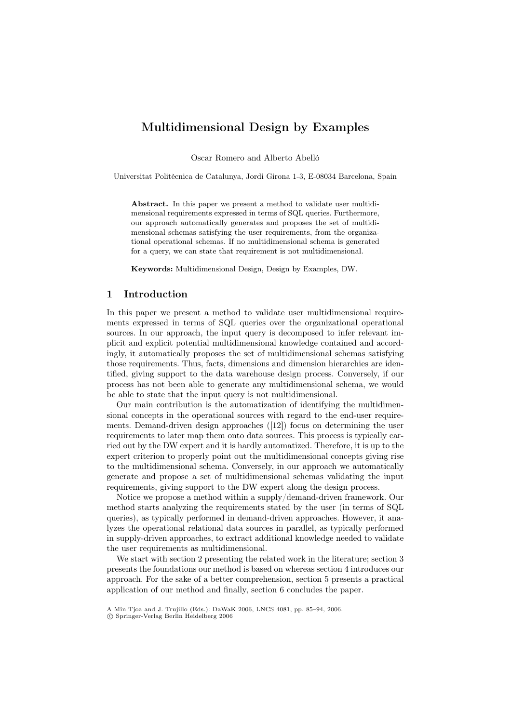# Multidimensional Design by Examples

Oscar Romero and Alberto Abelló

Universitat Politècnica de Catalunya, Jordi Girona 1-3, E-08034 Barcelona, Spain

Abstract. In this paper we present a method to validate user multidimensional requirements expressed in terms of SQL queries. Furthermore, our approach automatically generates and proposes the set of multidimensional schemas satisfying the user requirements, from the organizational operational schemas. If no multidimensional schema is generated for a query, we can state that requirement is not multidimensional.

Keywords: Multidimensional Design, Design by Examples, DW.

### 1 Introduction

In this paper we present a method to validate user multidimensional requirements expressed in terms of SQL queries over the organizational operational sources. In our approach, the input query is decomposed to infer relevant implicit and explicit potential multidimensional knowledge contained and accordingly, it automatically proposes the set of multidimensional schemas satisfying those requirements. Thus, facts, dimensions and dimension hierarchies are identified, giving support to the data warehouse design process. Conversely, if our process has not been able to generate any multidimensional schema, we would be able to state that the input query is not multidimensional.

Our main contribution is the automatization of identifying the multidimensional concepts in the operational sources with regard to the end-user requirements. Demand-driven design approaches ([12]) focus on determining the user requirements to later map them onto data sources. This process is typically carried out by the DW expert and it is hardly automatized. Therefore, it is up to the expert criterion to properly point out the multidimensional concepts giving rise to the multidimensional schema. Conversel[y, in](#page-9-0) our approach we automatically generate and propose a set of multidimensional schemas validating the input requirements, giving support to the DW expert along the design process.

Notice we propose a method within a supply/demand-driven framework. Our method starts analyzing the requirements stated by the user (in terms of SQL queries), as typically performed in demand-driven approaches. However, it analyzes the operational relational data sources in parallel, as typically performed in supply-driven approaches, to extract additional knowledge needed to validate the user requirements as multidimensional.

We start with section 2 presenting the related work in the literature; section 3 presents the foundations our method is based on whereas section 4 introduces our approach. For the sake of a better comprehension, section 5 presents a practical application of our method and finally, section 6 concludes the paper.

A Min Tjoa and J. Trujillo (Eds.): DaWaK 2006, LNCS 4081, pp. 85–94, 2006.

<sup>-</sup>c Springer-Verlag Berlin Heidelberg 2006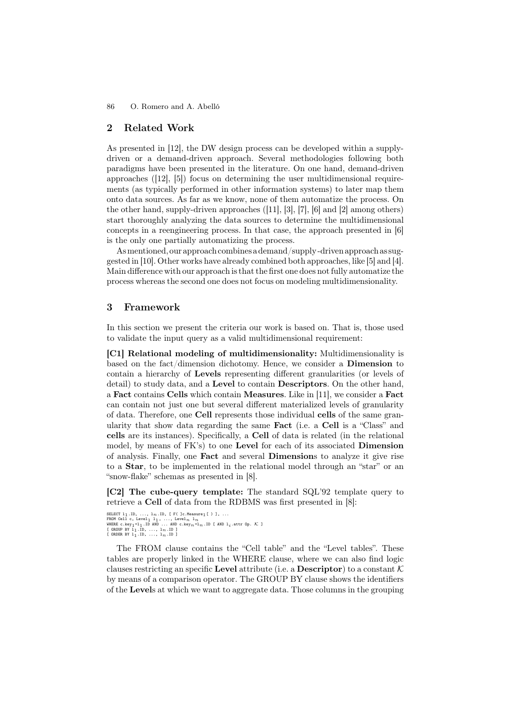# 2 Related Work

As presented in [12], the DW design process can be developed within a supplydriven or a demand-driven approach. Several methodologies following both paradigms have been presented in the literature. On one hand, demand-driven approaches ([12], [5]) focus on determining the user multidimensional requirements (as typica[lly](#page-9-0) performed in other information systems) to later map them onto data sources. As far as we know, none of them automatize the process. On the other hand, supply-driven approaches ([11], [3], [7], [6] and [2] among others) start thorou[ghly](#page-9-0) [ana](#page-9-1)lyzing the data sources to determine the multidimensional concepts in a reengineering process. In that case, the approach presented in [6] is the only one partially automatizing the process.

Asmentioned, our approach combines a de[ma](#page-9-2)n[d/s](#page-9-3)[upp](#page-9-4)l[y -](#page-9-5)drive[n a](#page-9-6)pproach as suggested in [10]. Other works have already combined both approaches, like [5] and [4]. Main difference with our approach is that the first one does not fully automatize t[he](#page-9-5) process whereas the second one does not focus on modeling multidimensionality.

## 3 Fra[me](#page-9-7)work

In this section we present the criteria our work is based on. That is, those used to validate the input query as a valid multidimensional requirement:

[C1] Relational modeling of multidimensionality: Multidimensionality is based on the fact/dimension dichotomy. Hence, we consider a Dimension to contain a hierarchy of Levels representing different granularities (or levels of detail) to study data, and a **Level** to contain **Descriptors**. On the other hand, a Fact contains Cells which contain Measures. Like in [11], we consider a Fact can contain not just one but several different materialized levels of granularity of data. Therefore, one Cell represents those individual cells of the same granularity that show data regarding the same Fact (i.e. a Cell is a "Class" and cells are its instances). Specifically, a Cell of data is r[elat](#page-9-2)ed (in the relational model, by means of FK's) to one **Level** for each of its associated **Dimension** of analysis. Finally, one Fact and several Dimensions to analyze it give rise to a Star, to be implemented in the relational model through an "star" or an "snow-flake" schemas as presented in [8].

[C2] The cube-query template: The standard SQL'92 template query to retrieve a Cell of data from the RDBMS was first presented in [8]:

SELECT  $1_1$ .ID, ...,  $1_n$ .ID, [ F( ]c.Measure<sub>1</sub>[ ) ], ... FROM Cell c, Level<sub>1</sub> 1<sub>1</sub>, ..., Level<sub>n</sub> 1<sub>n</sub>  $1_n$ <br>WHERE c.key<sub>1</sub>=1<sub>1</sub>.ID AND ... AND c.key<sub>n</sub>=1<sub>n</sub>.ID [ AND 1<sub>i</sub>.attr O[p.](#page-9-8) K ] [ GROUP BY  $1_1$ .ID, ...,  $1_n$ .ID ]<br>[ ORDER BY  $1_1$ .ID, ...,  $1_n$ .ID ]

The FROM clause contains the "Cell table" and the "Level [t](#page-9-8)ables". These tables are properly linked in the WHERE clause, where we can also find logic clauses restricting an specific **Level** attribute (i.e. a **Descriptor**) to a constant  $\mathcal K$ by means of a comparison operator. The GROUP BY clause shows the identifiers of the Levels at which we want to aggregate data. Those columns in the grouping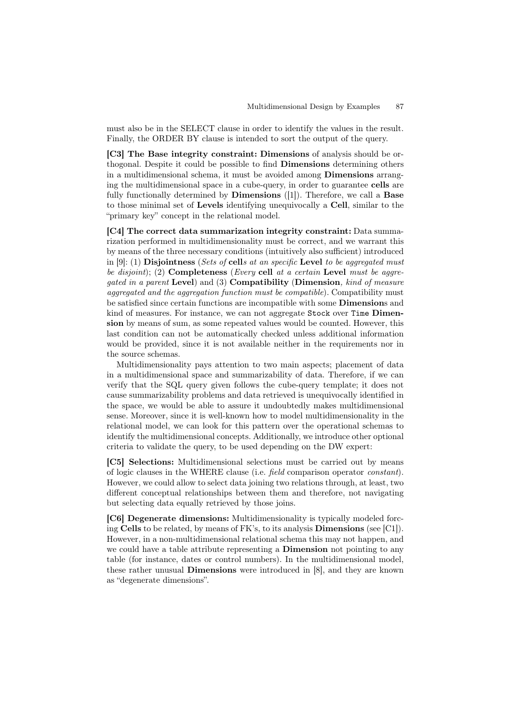must also be in the SELECT clause in order to identify the values in the result. Finally, the ORDER BY clause is intended to sort the output of the query.

[C3] The Base integrity constraint: Dimensions of analysis should be orthogonal. Despite it could be possible to find **Dimensions** determining others in a multidimensional schema, it must be avoided among Dimensions arranging the multidimensional space in a cube-query, in order to guarantee cells are fully functionally determined by **Dimensions**  $([1])$ . Therefore, we call a **Base** to those minimal set of Levels identifying unequivocally a Cell, similar to the "primary key" concept in the relational model.

[C4] The correct data summarization integrity constraint: Data summarization performed in multidimensionality must [be](#page-9-9) correct, and we warrant this by means of the three necessary conditions (intuitively also sufficient) introduced in [9]: (1) Disjointness (*Sets of* cell*s at an specific* Level *to be aggregated must be disjoint*); (2) Completeness (*Every* cell *at a certain* Level *must be aggregated in a parent* Level) and (3) Compatibility (Dimension*, kind of measure aggregated and the aggregation function must be compatible*). Compatibility must be [sa](#page-9-10)tisfied since certain functions are incompatible with some Dimensions and kind of measures. For instance, we can not aggregate Stock over Time Dimension by means of sum, as some repeated values would be counted. However, this last condition can not be automatically checked unless additional information would be provided, since it is not available neither in the requirements nor in the source schemas.

Multidimensionality pays attention to two main aspects; placement of data in a multidimensional space and summarizability of data. Therefore, if we can verify that the SQL query given follows the cube-query template; it does not cause summarizability problems and data retrieved is unequivocally identified in the space, we would be able to assure it undoubtedly makes multidimensional sense. Moreover, since it is well-known how to model multidimensionality in the relational model, we can look for this pattern over the operational schemas to identify the multidimensional concepts. Additionally, we introduce other optional criteria to validate the query, to be used depending on the DW expert:

[C5] Selections: Multidimensional selections must be carried out by means of logic clauses in the WHERE clause (i.e. *field* comparison operator *constant*). However, we could allow to select data joining two relations through, at least, two different conceptual relationships between them and therefore, not navigating but selecting data equally retrieved by those joins.

[C6] Degenerate dimensions: Multidimensionality is typically modeled forcing Cells to be related, by means of FK's, to its analysis Dimensions (see [C1]). However, in a non-multidimensional relational schema this may not happen, and we could have a table attribute representing a **Dimension** not pointing to any table (for instance, dates or control numbers). In the multidimensional model, these rather unusual Dimensions were introduced in [8], and they are known as "degenerate dimensions".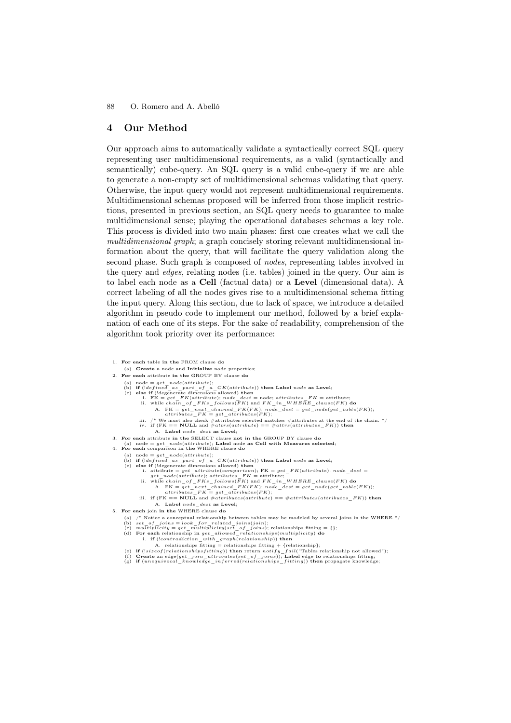### 4 Our Method

Our approach aims to automatically validate a syntactically correct SQL query representing user multidimensional requirements, as a valid (syntactically and semantically) cube-query. An SQL query is a valid cube-query if we are able to generate a non-empty set of multidimensional schemas validating that query. Otherwise, the input query would not represent multidimensional requirements. Multidimensional schemas proposed will be inferred from those implicit restrictions, presented in previous section, an SQL query needs to guarantee to make multidimensional sense; playing the operational databases schemas a key role. This process is divided into two main phases: first one creates what we call the *multidimensional graph*; a graph concisely storing relevant multidimensional information about the query, that will facilitate the query validation along the second phase. Such graph is composed of *nodes*, representing tables involved in the query and *edges*, relating nodes (i.e. tables) joined in the query. Our aim is to label each node as a Cell (factual data) or a Level (dimensional data). A correct labeling of all the nodes gives rise to a multidimensional schema fitting the input query. Along this section, due to lack of space, we introduce a detailed algorithm in pseudo code to implement our method, followed by a brief explanation of each one of its steps. For the sake of readability, comprehension of the algorithm took priority over its performance:

- <span id="page-3-0"></span>1. For each table in the FROM clause do
- <span id="page-3-1"></span>(a) Create a node and Initialize node properties; For each attribute in the GROUP BY clause do
- -
	- -
	- (a) node = get node(attribute);<br>
	(b) if  $(\text{defined\_as\_part\_of\_a\_CK}(\text{attribute}))$  then Label node as Level;<br>
	(c) else if  $(\text{degenerate\_as\_part\_of\_a\_CK}(\text{attribute}))$  then<br>
	i. FK = get  $\_FK(\text{attribute})$ ; node  $\_dest = \text{node};$  attributes;<br>
	ii. while  $chain\_of\_FKs\_follows(FK)$  and  $FK\_in$ 
		- iv. if (FK == NULL and  $#atts(attribute) == #atts(attributes_F K)$ ) then A. Label  $node$  dest as Level;
	-
- <span id="page-3-3"></span><span id="page-3-2"></span>3. For each attribute in the SELECT clause not in the GROUP BY clause do<br>(a) node = get\_node(attribute); Label node as Cell with Measures selected;<br>4. For each comparison in the WHERE clause do
	-
	- (a) node =  $get\_node(attribute);$ <br>(b) if  $(letine\overline{d}\_as\_part\_of\_a)$
	- (b) if  $(left)$  as  $part_of_a$  as  $part_of_a$   $CK(attribute)$ ) then Label node as Level;<br>(c) else if (!degenerate dimensions allowed) then
		- -
		- i. attribute = get\_attribute(comparison); FK = get\_FK(attribute); node\_dest =<br>get\_node(attribute); attributes\_FK = attribute;<br>i. while  $char\_of\_FKs\_follows(FK)$  and  $FK\_in\_WHERE\_clause(FK)$  do<br>A. FK = get\_next\_chained\_FK(FK); node\_dest = get\_n
- <span id="page-3-4"></span>5. For each join in the WHERE clause do
- 
- (a)  $/$ \* Notice a conceptual relationship between tables may be modeled by several joins in the WHERE \*/<br>(b) set\_of\_joins = look\_for\_related\_joins(join);<br>(c) multiplicity = get\_multiplicity(set\_of\_joins); relationships fi
	-
- - i. **if** (lcontradiction with graph  $[relationship)$ ) then<br>A. relationships fitting = relationships fitting + {relationship};
- 
- (e) if  $(!size of (relations his fitting))$  then return  $notify\_fail("Tables$  relationship not allowed");<br>(f) Create an edge(get\_join\_attributes(set\_of\_joins)); Label edge to relationships fitting;<br>(g) if  $(unequivocal \; knowledge \; inferred (relation)ships \; fitting)$ ) then propagate knowledge;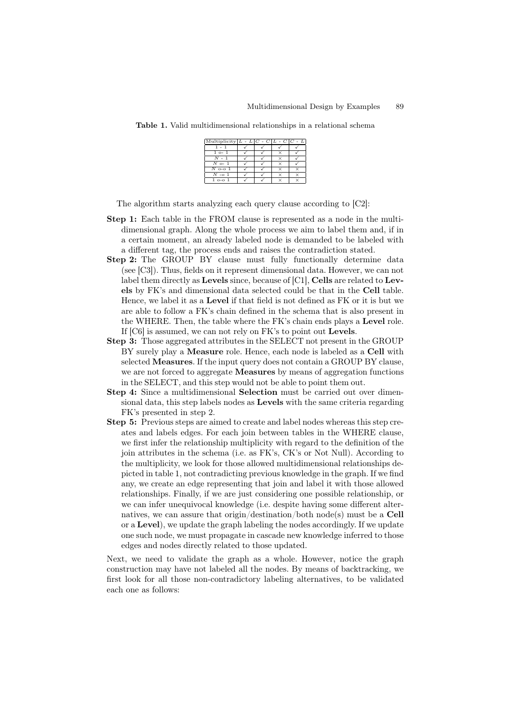| Multiplicity $L$ - $L$ $\overline{C}$ - $C$ $\overline{L}$ - $C$ $\overline{C}$ - $L$ |  |  |
|---------------------------------------------------------------------------------------|--|--|
| T - 1                                                                                 |  |  |
| $1$ o- $1$                                                                            |  |  |
| $N = 1$                                                                               |  |  |
| $N_{0-1}$                                                                             |  |  |
| $N_{\rm oo-O}$ 1                                                                      |  |  |
| $N_{\rm -0.1}$                                                                        |  |  |
| 1 റ-റ '                                                                               |  |  |

Table 1. Valid multidimensional relationships in a relational schema

<span id="page-4-0"></span>The algorithm starts analyzing each query clause according to [C2]:

- Step 1: Each table in the FROM clause is represented as a node in the multidimensional graph. Along the whole process we aim to label them and, if in a certain moment, an already labeled node is demanded to be labeled with a different tag, the process ends and raises the contradiction stated.
- Step [2:](#page-3-0) The GROUP BY clause must fully functionally determine data (see [C3]). Thus, fields on it represent dimensional data. However, we can not label them directly as Levels since, because of [C1], Cells are related to Levels by FK's and dimensional data selected could be that in the Cell table. H[en](#page-3-1)ce, we label it as a Level if that field is not defined as FK or it is but we are able to follow a FK's chain defined in the schema that is also present in the WHERE. Then, the table where the FK's chain ends plays a Level role. If [C6] is assumed, we can not rely on FK's to point out Levels.
- Step 3: Those aggregated attributes in the SELECT not present in the GROUP BY surely play a Measure role. Hence, each node is labeled as a Cell with selected Measures. If the input query does not contain a GROUP BY clause, we are not forced to aggregate Measures by means of aggregation functions in [th](#page-3-2)e SELECT, and this step would not be able to point them out.
- Step 4: Since a multidimensional Selection must be carried out over dimensional data, this step labels nodes as Levels with the same criteria regarding FK's presented in step 2.
- Step 5: Previous steps are aimed to create and label nodes whereas this step crea[tes](#page-3-3) and labels edges. For each join between tables in the WHERE clause, we first infer the relationship multiplicity with regard to the definition of the join attributes in the s[ch](#page-3-1)ema (i.e. as FK's, CK's or Not Null). According to t[he](#page-3-4) multiplicity, we look for those allowed multidimensional relationships depicted in table 1, not contradicting previous knowledge in the graph. If we find any, we create an edge representing that join and label it with those allowed relationships. Finally, if we are just considering one possible relationship, or we can infer unequivocal knowledge (i.e. despite having some different alternatives, we ca[n](#page-4-0) assure that origin/destination/both node(s) must be a Cell or a Level), we update the graph labeling the nodes accordingly. If we update one such node, we must propagate in cascade new knowledge inferred to those edges and nodes directly related to those updated.

Next, we need to validate the graph as a whole. However, notice the graph construction may have not labeled all the nodes. By means of backtracking, we first look for all those non-contradictory labeling alternatives, to be validated each one as follows: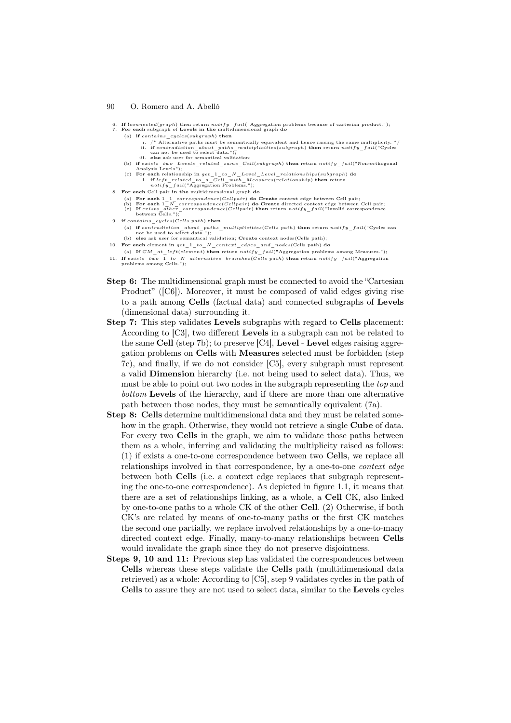- 6. If  $!control(graph)$  then return  $notify\_fail("Aggregation problems$  because of cartesian product.");<br>7. For each subgraph of Levels in the multidimensional graph do
	- (a) if contains  $cycles(subgraph)$  then
		- \* Alternative paths must be semantically equivalent and hence raising the same multiplicity. \*/ ii. if contradiction\_about\_paths\_multiplicities(subgraph) then return notify\_fail("Cycles can not be used to select data.");
		- iii. else ask user for semantical validation;
		- (b) if exists\_two\_Levels\_related\_same\_Cell(subgraph) then return  $notify\_fail("Non-orthogonal$ <br>Analysis Levels");
	- (c) For each relationship in  $get_1_to_N\_ReLU\_Level\_Level\_relations (subgraph)$  do
	- i. if  $left\_related_to_a$   $\overline{Cell}$  with  $\overline{Measures(relationship)}$  then return  $notify\_fail("Aggregation$  Problems.");
- <span id="page-5-4"></span><span id="page-5-2"></span><span id="page-5-1"></span><span id="page-5-0"></span>8. For each Cell pair in the multidimensional graph do
	-
	- (a) For each  $1-1$  correspondence(Cellpair) do Create context edge between Cell pair;<br>
	(b) For each  $1-\overline{N}$  correspondence(Cellpair) do Create directed context edge between Cell pair;<br>
	(c) If exists other correspondence
- 
- <span id="page-5-3"></span>9. if contains cycles(Cells path) then
	- (a) if contradiction\_about\_paths\_multiplicities(Cells path) then return notify\_fail("Cycles can not be used to select data.");<br>(b) else ask user for semantical validation; Create context nodes(Cells path);
- <span id="page-5-5"></span>10. For each element in  $get_1_to_N_countext_eq_{edges}$  and nodes(Cells path) do
- 
- (a) If  $CM\_at\_left(element)$  then return  $notify\_fail("Aggregation problems among Measures.");$ <br>11. If exists\_two\_1 to\_N\_alternative\_branches(Cells path) then return  $notify\_fail("Aggregation problems among Cells.");$
- <span id="page-5-7"></span><span id="page-5-6"></span>Step 6: The multidimensional graph must be connected to avoid the "Cartesian Product" ([C6]). Moreover, it must be composed of valid edges giving rise to a path among Cells (factual data) and connected subgraphs of Levels (dimensional data) surrounding it.
- Step [7:](#page-5-0) This step validates Levels subgraphs with regard to Cells placement: According to [C3], two different Levels in a subgraph can not be related to the same Cell (step 7b); to preserve [C4], Level - Level edges raising aggregation problems on Cells with Measures selected must be forbidden (step 7[c\),](#page-5-1) and finally, if we do not consider [C5], every subgraph must represent a valid Dimension hierarchy (i.e. not being used to select data). Thus, we must be able to poi[nt ou](#page-5-2)t two nodes in the subgraph representing the *top* and *bottom* Levels of the hierarchy, and if there are more than one alternative [pat](#page-5-3)h between those nodes, they must be semantically equivalent (7a).
- Step 8: Cells determine multidimensional data and they must be related somehow in the graph. Otherwise, they would not retrieve a single Cube of data. For every two Cells in the graph, we aim to validate those paths between them as a whole, inferring and validating the multiplicity raised [as f](#page-5-4)ollows: ([1\)](#page-5-5) if exists a one-to-one correspondence between two Cells, we replace all relationships involved in that correspondence, by a one-to-one *context edge* between both Cells (i.e. a context edge replaces that subgraph representing the one-to-one correspondence). As depicted in figure 1.1, it means that there are a set of relationships linking, as a whole, a Cell CK, also linked by one-to-one paths to a whole CK of the other Cell. (2) Otherwise, if both CK's are related by means of one-to-many paths or the first CK matches the second one partially, we replace involved relationships [b](#page-6-0)y a one-to-many directed context edge. Finally, many-to-many relationships between Cells would invalidate the graph since they do not preserve disjointness.
- Steps 9, 10 and 11: Previous step has validated the correspondences between Cells whereas these steps validate the Cells path (multidimensional data retrieved) as a whole: According to [C5], step 9 validates cycles in the path of Cells to assure they are not used to select data, similar to the Levels cycles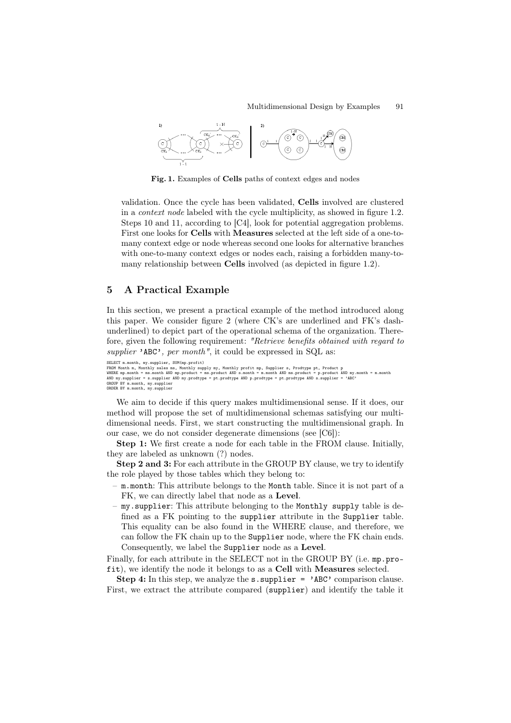

Fig. 1. Examples of Cells paths of context edges and nodes

<span id="page-6-0"></span>validation. Once the cycle has been validated, Cells involved are clustered in a *context node* labeled with the cycle multiplicity, as showed in figure 1.2. Steps 10 and 11, according to [C4], look for potential aggregation problems. First one looks for Cells with Measures selected at the left side of a one-tomany context edge or node whereas second one looks for alternative branches with one-to-many context edges or nodes each, raising a forbidden man[y-t](#page-6-0)omany [rel](#page-5-6)atio[nsh](#page-5-7)ip between Cells involved (as depicted in figure 1.2).

### 5 A Practical Example

In this section, we present a practical example of the method intro[duc](#page-6-0)ed along this paper. We consider figure 2 (where CK's are underlined and FK's dashunderlined) to depict part of the operational schema of the organization. Therefore, given the following requirement: *"Retrieve benefits obtained with regard to supplier* 'ABC'*, per month"*, it could be expressed in SQL as:

```
SELECT m.month, my.supplier, SUM(mp.profit)
onth m, Monthly sales ms, Monthly supply my, Monthly profit mp, Supplier s, Prodtype pt, Product p<br>WHERE mp.month = ms.month AND mp.product = ms.product AND s.month = m.month AND ms.product = p.product AND my.month =
ORDER BY m.month, my.supplier
```
We aim to decide if this query makes multidimensional sense. If it does, our method will propose the set of multidimensional schemas satisfying our multidimensional needs. First, we start constructing the multidimensional graph. In our case, we do not consider degenerate dimensions (see [C6]):

Step 1: We first create a node for each table in the FROM clause. Initially, they are labeled as unknown (?) nodes.

Step 2 and 3: For each attribute in the GROUP BY clause, we try to identify the role played by those tables which they belong to:

- m.month: This attribute belongs to the Month table. Since it is not part of a FK, we can directly label that node as a Level.
- my.supplier: This attribute belonging to the Monthly supply table is defined as a FK pointing to the supplier attribute in the Supplier table. This equality can be also found in the WHERE clause, and therefore, we can follow the FK chain up to the Supplier node, where the FK chain ends. Consequently, we label the Supplier node as a Level.

Finally, for each attribute in the SELECT not in the GROUP BY (i.e.  $mp.$  profit), we identify the node it belongs to as a Cell with Measures selected.

Step 4: In this step, we analyze the s.supplier = 'ABC' comparison clause. First, we extract the attribute compared (supplier) and identify the table it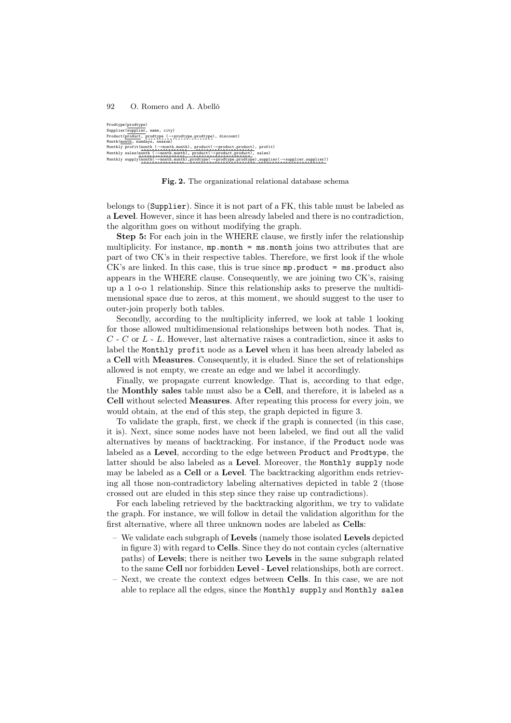Prodtype(prodtype) Supplier(supplier, name, city) Product(product, prodtype (→prodtype.prodtype), discount)<br>Month(month, numdays, season) Monthly profit(month (--month.month), product(--product.product), profit), Monthly sales (month (--month.month), product(--product.product), sales)  $M_{\text{model}}$ , product( $\rightarrow$ product.product), sales) Monthly supply(<del>month(→month.month</del>),prodtype(→prodtype.prodtype),supplier(→supplier.supplier))

#### Fig. 2. The organizational relational database schema

belongs to (Supplier). Since it is not part of a FK, this table must be labeled as a Level. However, since it has been already labeled and there is no contradiction, the algorithm goes on without modifying the graph.

<span id="page-7-0"></span>Step 5: For each join in the WHERE clause, we firstly infer the relationship multiplicity. For instance,  $mp.morth = ms.month$  joins two attributes that are part of two CK's in their respective tables. Therefore, we first look if the whole  $CK's$  are linked. In this case, this is true since  $mp$ ,  $product = ms$ ,  $product$  also appears in the WHERE clause. Consequently, we are joining two CK's, raising up a 1 o-o 1 relationship. Since this relationship asks to preserve the multidimensional space due to zeros, at this moment, we should suggest to the user to outer-join properly both tables.

Secondly, according to the multiplicity inferred, we look at table 1 looking for those allowed multidimensional relationships between both nodes. That is,  $C$  -  $C$  or  $L$  -  $L$ . However, last alternative raises a contradiction, since it asks to label the Monthly profit node as a Level when it has been already labeled as a Cell with Measures. Consequently, it is eluded. Since the set of rel[at](#page-4-0)ionships allowed is not empty, we create an edge and we label it accordingly.

Finally, we propagate current knowledge. That is, according to that edge, the Monthly sales table must also be a Cell, and therefore, it is labeled as a Cell without selected Measures. After repeating this process for every join, we would obtain, at the end of this step, the graph depicted in figure 3.

To validate the graph, first, we check if the graph is connected (in this case, it is). Next, since some nodes have not been labeled, we find out all the valid alternatives by means of backtracking. For instance, if the Product node was labeled as a Level, according to the edge between Product and [Pro](#page-8-0)dtype, the latter should be also labeled as a Level. Moreover, the Monthly supply node may be labeled as a **Cell** or a **Level**. The backtracking algorithm ends retrieving all those non-contradictory labeling alternatives depicted in table 2 (those crossed out are eluded in this step since they raise up contradictions).

For each labeling retrieved by the backtracking algorithm, we try to validate the graph. For instance, we will follow in detail the validation algorithm for the first alternative, where all three unknown nodes are labeled as Cells:

- We validate each subgraph of Levels (namely those isolated Levels depicted in figure 3) with regard to Cells. Since they do not contain cycles (alternative paths) of Levels; there is neither two Levels in the same subgraph related to the same Cell nor forbidden Level - Level relationships, both are correct.
- Next, we create the context edges between Cells. In this case, we are not able to r[ep](#page-8-0)lace all the edges, since the Monthly supply and Monthly sales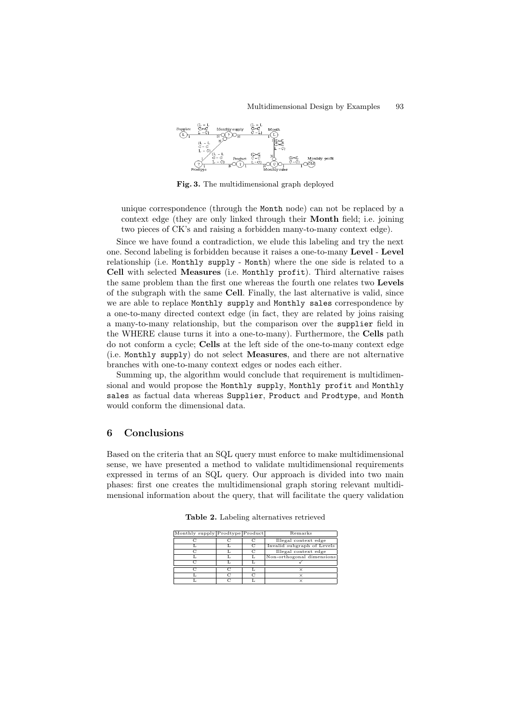

Fig. 3. The multidimensional graph deployed

<span id="page-8-0"></span>unique correspondence (through the Month node) can not be replaced by a context edge (they are only linked through their Month field; i.e. joining two pieces of CK's and raising a forbidden many-to-many context edge).

Since we have found a contradiction, we elude this labeling and try the next one. Second labeling is forbidden because it raises a one-to-many Level - Level relationship (i.e. Monthly supply - Month) where the one side is related to a Cell with selected Measures (i.e. Monthly profit). Third alternative raises the same problem than the first one whereas the fourth one relates two Levels of the subgraph with the same Cell. Finally, the last alternative is valid, since we are able to replace Monthly supply and Monthly sales correspondence by a one-to-many directed context edge (in fact, they are related by joins raising a many-to-many relationship, but the comparison over the supplier field in the WHERE clause turns it into a one-to-many). Furthermore, the Cells path do not conform a cycle; Cells at the left side of the one-to-many context edge (i.e. Monthly supply) do not select Measures, and there are not alternative branches with one-to-many context edges or nodes each either.

Summing up, the algorithm would conclude that requirement is multidimensional and would propose the Monthly supply, Monthly profit and Monthly sales as factual data whereas Supplier, Product and Prodtype, and Month would conform the dimensional data.

### 6 Conclusions

Based on the criteria that an SQL query must enforce to make multidimensional sense, we have presented a method to validate multidimensional requirements expressed in terms of an SQL query. Our approach is divided into two main phases: first one creates the multidimensional graph storing relevant multidimensional information about the query, that will facilitate the query validation

| Monthly supply Prodtype Product |  | Remarks                    |
|---------------------------------|--|----------------------------|
|                                 |  | Illegal context edge       |
|                                 |  | Invalid subgraph of Levels |
|                                 |  | Illegal context edge       |
|                                 |  | Non-orthogonal dimensions  |
|                                 |  |                            |
|                                 |  |                            |
|                                 |  |                            |
|                                 |  |                            |

Table 2. Labeling alternatives retrieved